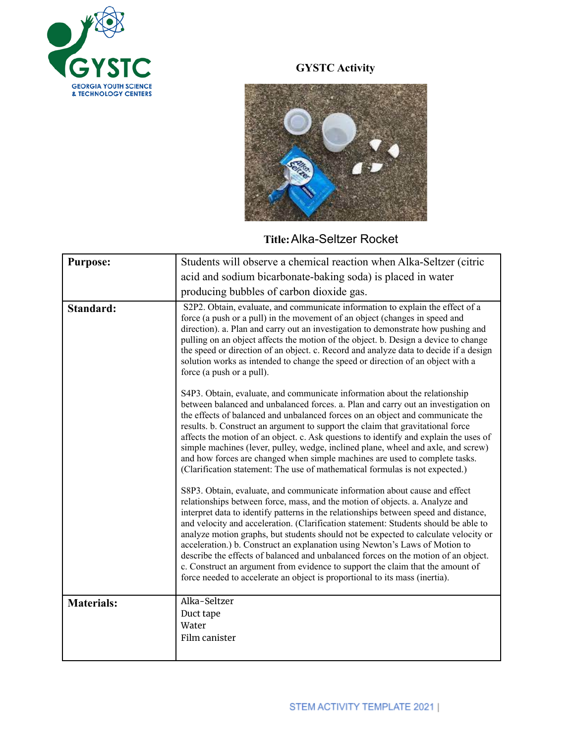

## **GYSTC Activity**



## **Title:**Alka-Seltzer Rocket

| Students will observe a chemical reaction when Alka-Seltzer (citric                                                                                                                                                                                                                                                                                                                                                                                                                                                                                                                                                                                                                                                                                                    |
|------------------------------------------------------------------------------------------------------------------------------------------------------------------------------------------------------------------------------------------------------------------------------------------------------------------------------------------------------------------------------------------------------------------------------------------------------------------------------------------------------------------------------------------------------------------------------------------------------------------------------------------------------------------------------------------------------------------------------------------------------------------------|
| acid and sodium bicarbonate-baking soda) is placed in water                                                                                                                                                                                                                                                                                                                                                                                                                                                                                                                                                                                                                                                                                                            |
| producing bubbles of carbon dioxide gas.                                                                                                                                                                                                                                                                                                                                                                                                                                                                                                                                                                                                                                                                                                                               |
| S2P2. Obtain, evaluate, and communicate information to explain the effect of a<br>force (a push or a pull) in the movement of an object (changes in speed and<br>direction). a. Plan and carry out an investigation to demonstrate how pushing and<br>pulling on an object affects the motion of the object. b. Design a device to change<br>the speed or direction of an object. c. Record and analyze data to decide if a design<br>solution works as intended to change the speed or direction of an object with a<br>force (a push or a pull).                                                                                                                                                                                                                     |
| S4P3. Obtain, evaluate, and communicate information about the relationship<br>between balanced and unbalanced forces. a. Plan and carry out an investigation on<br>the effects of balanced and unbalanced forces on an object and communicate the<br>results. b. Construct an argument to support the claim that gravitational force<br>affects the motion of an object. c. Ask questions to identify and explain the uses of<br>simple machines (lever, pulley, wedge, inclined plane, wheel and axle, and screw)<br>and how forces are changed when simple machines are used to complete tasks.<br>(Clarification statement: The use of mathematical formulas is not expected.)                                                                                      |
| S8P3. Obtain, evaluate, and communicate information about cause and effect<br>relationships between force, mass, and the motion of objects. a. Analyze and<br>interpret data to identify patterns in the relationships between speed and distance,<br>and velocity and acceleration. (Clarification statement: Students should be able to<br>analyze motion graphs, but students should not be expected to calculate velocity or<br>acceleration.) b. Construct an explanation using Newton's Laws of Motion to<br>describe the effects of balanced and unbalanced forces on the motion of an object.<br>c. Construct an argument from evidence to support the claim that the amount of<br>force needed to accelerate an object is proportional to its mass (inertia). |
| Alka-Seltzer<br>Duct tape<br>Water<br>Film canister                                                                                                                                                                                                                                                                                                                                                                                                                                                                                                                                                                                                                                                                                                                    |
|                                                                                                                                                                                                                                                                                                                                                                                                                                                                                                                                                                                                                                                                                                                                                                        |